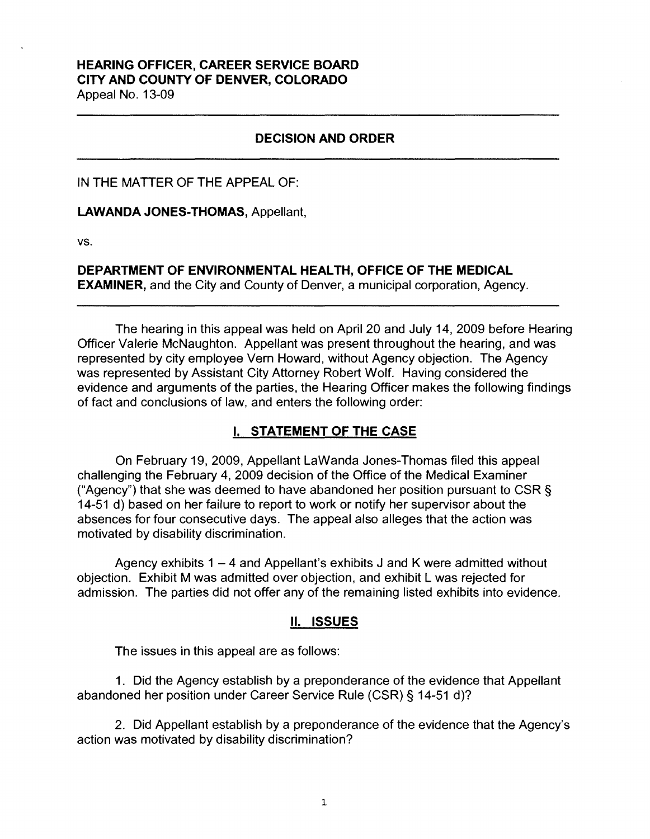# **HEARING OFFICER, CAREER SERVICE BOARD CITY AND COUNTY OF DENVER, COLORADO**

Appeal No. 13-09

## **DECISION AND ORDER**

IN THE MATTER OF THE APPEAL OF:

**LAWANDA JONES-THOMAS,** Appellant,

vs.

**DEPARTMENT OF ENVIRONMENTAL HEALTH, OFFICE OF THE MEDICAL EXAMINER,** and the City and County of Denver, a municipal corporation, Agency.

The hearing in this appeal was held on April 20 and July 14, 2009 before Hearing Officer Valerie McNaughton. Appellant was present throughout the hearing, and was represented by city employee Vern Howard, without Agency objection. The Agency was represented by Assistant City Attorney Robert Wolf. Having considered the evidence and arguments of the parties, the Hearing Officer makes the following findings of fact and conclusions of law, and enters the following order:

# I. **STATEMENT OF THE CASE**

On February 19, 2009, Appellant Lawanda Jones-Thomas filed this appeal challenging the February 4, 2009 decision of the Office of the Medical Examiner ("Agency") that she was deemed to have abandoned her position pursuant to CSR  $\S$ 14-51 d) based on her failure to report to work or notify her supervisor about the absences for four consecutive days. The appeal also alleges that the action was motivated by disability discrimination.

Agency exhibits  $1 - 4$  and Appellant's exhibits J and K were admitted without objection. Exhibit M was admitted over objection, and exhibit L was rejected for admission. The parties did not offer any of the remaining listed exhibits into evidence.

## II. **ISSUES**

The issues in this appeal are as follows:

1 . Did the Agency establish by a preponderance of the evidence that Appellant abandoned her position under Career Service Rule (CSR)§ 14-51 d)?

2. Did Appellant establish by a preponderance of the evidence that the Agency's action was motivated by disability discrimination?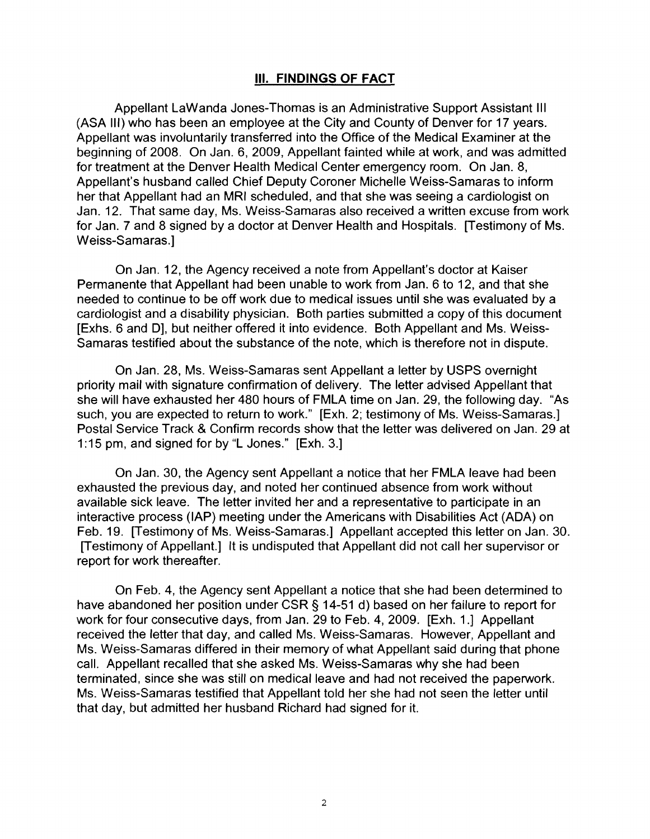## Ill. **FINDINGS OF FACT**

Appellant Lawanda Jones-Thomas is an Administrative Support Assistant Ill (ASA Ill) who has been an employee at the City and County of Denver for 17 years. Appellant was involuntarily transferred into the Office of the Medical Examiner at the beginning of 2008. On Jan. 6, 2009, Appellant fainted while at work, and was admitted for treatment at the Denver Health Medical Center emergency room. On Jan. 8, Appellant's husband called Chief Deputy Coroner Michelle Weiss-Samaras to inform her that Appellant had an MRI scheduled, and that she was seeing a cardiologist on Jan. 12. That same day, Ms. Weiss-Samaras also received a written excuse from work for Jan. 7 and 8 signed by a doctor at Denver Health and Hospitals. [Testimony of Ms. Weiss-Samaras.]

On Jan. 12, the Agency received a note from Appellant's doctor at Kaiser Permanente that Appellant had been unable to work from Jan. 6 to 12, and that she needed to continue to be off work due to medical issues until she was evaluated by a cardiologist and a disability physician. Both parties submitted a copy of this document [Exhs. 6 and D], but neither offered it into evidence. Both Appellant and Ms. Weiss-Samaras testified about the substance of the note, which is therefore not in dispute.

On Jan. 28, Ms. Weiss-Samaras sent Appellant a letter by USPS overnight priority mail with signature confirmation of delivery. The letter advised Appellant that she will have exhausted her 480 hours of FMLA time on Jan. 29, the following day. "As such, you are expected to return to work." [Exh. 2; testimony of Ms. Weiss-Samaras.] Postal Service Track & Confirm records show that the letter was delivered on Jan. 29 at 1 :15 pm, and signed for by "L Jones." [Exh. 3.]

On Jan. 30, the Agency sent Appellant a notice that her FMLA leave had been exhausted the previous day, and noted her continued absence from work without available sick leave. The letter invited her and a representative to participate in an interactive process (IAP) meeting under the Americans with Disabilities Act (ADA) on Feb. 19. [Testimony of Ms. Weiss-Samaras.] Appellant accepted this letter on Jan. 30. [Testimony of Appellant.] It is undisputed that Appellant did not call her supervisor or report for work thereafter.

On Feb. 4, the Agency sent Appellant a notice that she had been determined to have abandoned her position under CSR § 14-51 d) based on her failure to report for work for four consecutive days, from Jan. 29 to Feb. 4, 2009. [Exh. 1.] Appellant received the letter that day, and called Ms. Weiss-Samaras. However, Appellant and Ms. Weiss-Samaras differed in their memory of what Appellant said during that phone call. Appellant recalled that she asked Ms. Weiss-Samaras why she had been terminated, since she was still on medical leave and had not received the paperwork. Ms. Weiss-Samaras testified that Appellant told her she had not seen the letter until that day, but admitted her husband Richard had signed for it.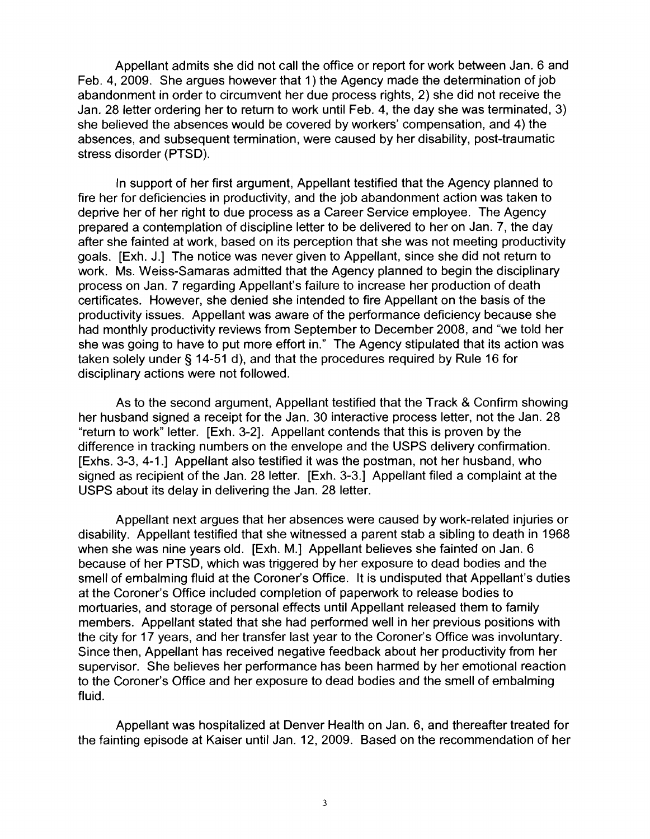Appellant admits she did not call the office or report for work between Jan. 6 and Feb. 4, 2009. She argues however that 1) the Agency made the determination of job abandonment in order to circumvent her due process rights, 2) she did not receive the Jan. 28 letter ordering her to return to work until Feb. 4, the day she was terminated, 3) she believed the absences would be covered by workers' compensation, and 4) the absences, and subsequent termination, were caused by her disability, post-traumatic stress disorder (PTSD).

In support of her first argument, Appellant testified that the Agency planned to fire her for deficiencies in productivity, and the job abandonment action was taken to deprive her of her right to due process as a Career Service employee. The Agency prepared a contemplation of discipline letter to be delivered to her on Jan. 7, the day after she fainted at work, based on its perception that she was not meeting productivity goals. [Exh. J.] The notice was never given to Appellant, since she did not return to work. Ms. Weiss-Samaras admitted that the Agency planned to begin the disciplinary process on Jan. 7 regarding Appellant's failure to increase her production of death certificates. However, she denied she intended to fire Appellant on the basis of the productivity issues. Appellant was aware of the performance deficiency because she had monthly productivity reviews from September to December 2008, and "we told her she was going to have to put more effort in." The Agency stipulated that its action was taken solely under§ 14-51 d), and that the procedures required by Rule 16 for disciplinary actions were not followed.

As to the second argument, Appellant testified that the Track & Confirm showing her husband signed a receipt for the Jan. 30 interactive process letter, not the Jan. 28 "return to work" letter. [Exh. 3-2]. Appellant contends that this is proven by the difference in tracking numbers on the envelope and the USPS delivery confirmation. [Exhs. 3-3, 4-1.] Appellant also testified it was the postman, not her husband, who signed as recipient of the Jan. 28 letter. [Exh. 3-3.] Appellant filed a complaint at the USPS about its delay in delivering the Jan. 28 letter.

Appellant next argues that her absences were caused by work-related injuries or disability. Appellant testified that she witnessed a parent stab a sibling to death in 1968 when she was nine years old. [Exh. M.] Appellant believes she fainted on Jan. 6 because of her PTSD, which was triggered by her exposure to dead bodies and the smell of embalming fluid at the Coroner's Office. It is undisputed that Appellant's duties at the Coroner's Office included completion of paperwork to release bodies to mortuaries, and storage of personal effects until Appellant released them to family members. Appellant stated that she had performed well in her previous positions with the city for 17 years, and her transfer last year to the Coroner's Office was involuntary. Since then, Appellant has received negative feedback about her productivity from her supervisor. She believes her performance has been harmed by her emotional reaction to the Coroner's Office and her exposure to dead bodies and the smell of embalming fluid.

Appellant was hospitalized at Denver Health on Jan. 6, and thereafter treated for the fainting episode at Kaiser until Jan. 12, 2009. Based on the recommendation of her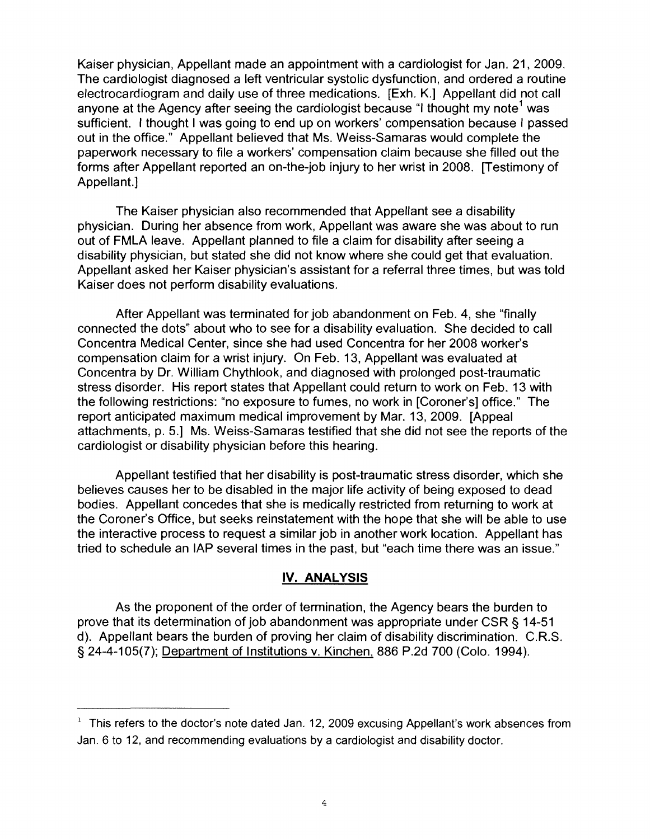Kaiser physician, Appellant made an appointment with a cardiologist for Jan. 21, 2009. The cardiologist diagnosed a left ventricular systolic dysfunction, and ordered a routine electrocardiogram and daily use of three medications. [Exh. K.] Appellant did not call anyone at the Agency after seeing the cardiologist because "I thought my note<sup>1</sup> was sufficient. I thought I was going to end up on workers' compensation because I passed out in the office." Appellant believed that Ms. Weiss-Samaras would complete the paperwork necessary to file a workers' compensation claim because she filled out the forms after Appellant reported an on-the-job injury to her wrist in 2008. [Testimony of Appellant.]

The Kaiser physician also recommended that Appellant see a disability physician. During her absence from work, Appellant was aware she was about to run out of FMLA leave. Appellant planned to file a claim for disability after seeing a disability physician, but stated she did not know where she could get that evaluation. Appellant asked her Kaiser physician's assistant for a referral three times, but was told Kaiser does not perform disability evaluations.

After Appellant was terminated for job abandonment on Feb. 4, she "finally connected the dots" about who to see for a disability evaluation. She decided to call Concentra Medical Center, since she had used Concentra for her 2008 worker's compensation claim for a wrist injury. On Feb. 13, Appellant was evaluated at Concentra by Dr. William Chythlook, and diagnosed with prolonged post-traumatic stress disorder. His report states that Appellant could return to work on Feb. 13 with the following restrictions: "no exposure to fumes, no work in [Coroner's] office." The report anticipated maximum medical improvement by Mar. 13, 2009. [Appeal attachments, p. 5.] Ms. Weiss-Samaras testified that she did not see the reports of the cardiologist or disability physician before this hearing.

Appellant testified that her disability is post-traumatic stress disorder, which she believes causes her to be disabled in the major life activity of being exposed to dead bodies. Appellant concedes that she is medically restricted from returning to work at the Coroner's Office, but seeks reinstatement with the hope that she will be able to use the interactive process to request a similar job in another work location. Appellant has tried to schedule an IAP several times in the past, but "each time there was an issue."

### **IV. ANALYSIS**

As the proponent of the order of termination, the Agency bears the burden to prove that its determination of job abandonment was appropriate under CSR§ 14-51 d). Appellant bears the burden of proving her claim of disability discrimination. C.R.S. § 24-4-105(7); Department of Institutions v. Kinchen, 886 P.2d 700 (Colo. 1994).

 $1$  This refers to the doctor's note dated Jan. 12, 2009 excusing Appellant's work absences from Jan. 6 to 12, and recommending evaluations by a cardiologist and disability doctor.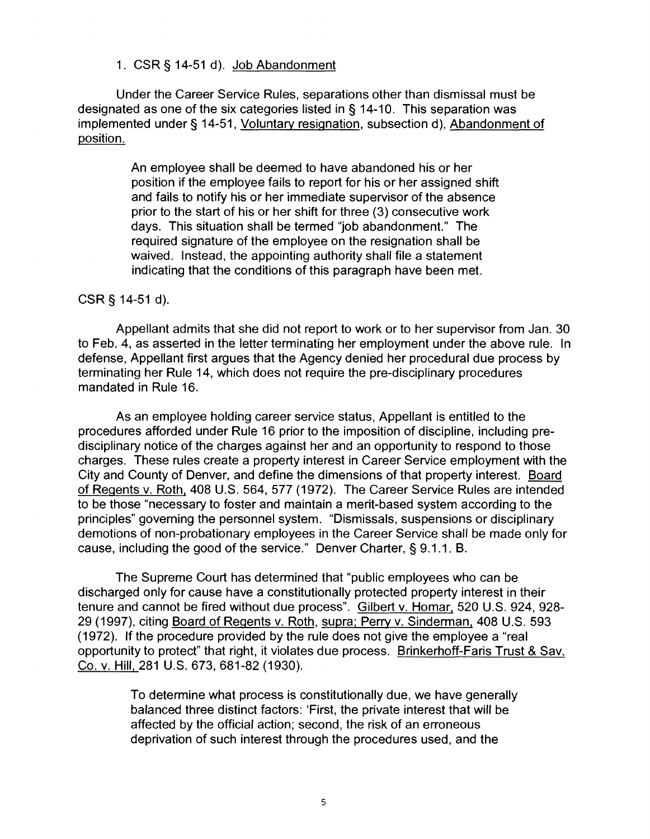1. CSR§ 14-51 d). Job Abandonment

Under the Career Service Rules, separations other than dismissal must be designated as one of the six categories listed in§ 14-10. This separation was implemented under§ 14-51, Voluntary resignation, subsection d), Abandonment of position.

> An employee shall be deemed to have abandoned his or her position if the employee fails to report for his or her assigned shift and fails to notify his or her immediate supervisor of the absence prior to the start of his or her shift for three (3) consecutive work days. This situation shall be termed "job abandonment." The required signature of the employee on the resignation shall be waived. Instead, the appointing authority shall file a statement indicating that the conditions of this paragraph have been met.

### CSR§ 14-51 d).

Appellant admits that she did not report to work or to her supervisor from Jan. 30 to Feb. 4, as asserted in the letter terminating her employment under the above rule. In defense, Appellant first argues that the Agency denied her procedural due process by terminating her Rule 14, which does not require the pre-disciplinary procedures mandated in Rule 16.

As an employee holding career service status, Appellant is entitled to the procedures afforded under Rule 16 prior to the imposition of discipline, including predisciplinary notice of the charges against her and an opportunity to respond to those charges. These rules create a property interest in Career Service employment with the City and County of Denver, and define the dimensions of that property interest. Board of Regents v. Roth, 408 U.S. 564, 577 (1972). The Career Service Rules are intended to be those "necessary to foster and maintain a merit-based system according to the principles" governing the personnel system. "Dismissals, suspensions or disciplinary demotions of non-probationary employees in the Career Service shall be made only for cause, including the good of the service." Denver Charter, § 9.1.1. B.

The Supreme Court has determined that "public employees who can be discharged only for cause have a constitutionally protected property interest in their tenure and cannot be fired without due process". Gilbert v. Homar, 520 U.S. 924, 928- 29 (1997), citing Board of Regents v. Roth, supra; Perry v. Sinderman, 408 U.S. 593 (1972). If the procedure provided by the rule does not give the employee a "real opportunity to protect" that right, it violates due process. Brinkerhoff-Faris Trust & Sav. Co. v. Hill, 281 U.S. 673, 681-82 (1930).

> To determine what process is constitutionally due, we have generally balanced three distinct factors: 'First, the private interest that will be affected by the official action; second, the risk of an erroneous deprivation of such interest through the procedures used, and the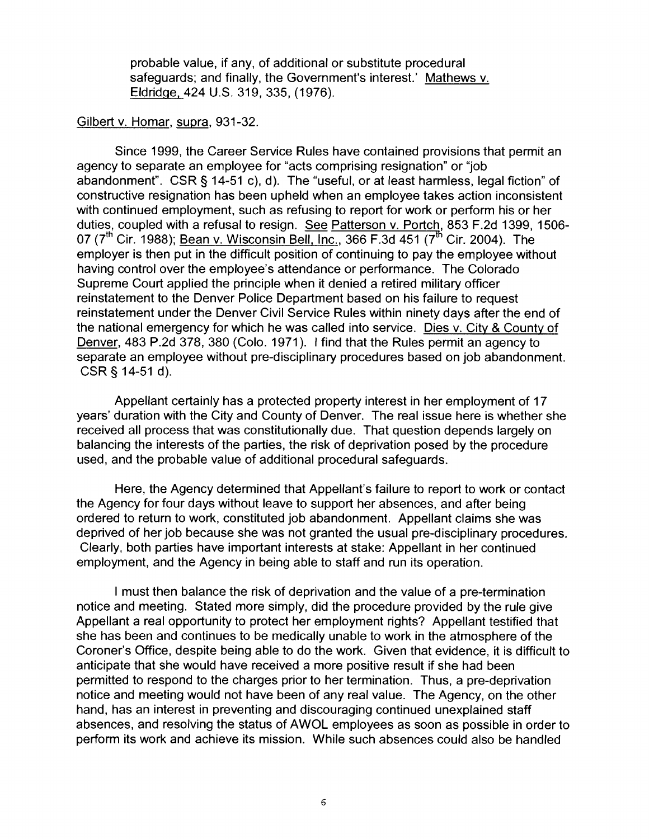probable value, if any, of additional or substitute procedural safeguards; and finally, the Government's interest.' Mathews v. Eldridge, 424 U.S. 319,335, (1976).

#### Gilbert v. Homar, supra, 931-32.

Since 1999, the Career Service Rules have contained provisions that permit an agency to separate an employee for "acts comprising resignation" or "job abandonment". CSR§ 14-51 c), d). The "useful, or at least harmless, legal fiction" of constructive resignation has been upheld when an employee takes action inconsistent with continued employment, such as refusing to report for work or perform his or her duties, coupled with a refusal to resign. See Patterson v. Portch, 853 F.2d 1399, 1506-07 ( $7^{\text{th}}$  Cir. 1988); Bean v. Wisconsin Bell, Inc., 366 F.3d 451 ( $7^{\text{th}}$  Cir. 2004). The employer is then put in the difficult position of continuing to pay the employee without having control over the employee's attendance or performance. The Colorado Supreme Court applied the principle when it denied a retired military officer reinstatement to the Denver Police Department based on his failure to request reinstatement under the Denver Civil Service Rules within ninety days after the end of the national emergency for which he was called into service. Dies v. City & County of Denver, 483 P.2d 378, 380 (Colo. 1971 ). I find that the Rules permit an agency to separate an employee without pre-disciplinary procedures based on job abandonment. CSR§ 14-51 d).

Appellant certainly has a protected property interest in her employment of 17 years' duration with the City and County of Denver. The real issue here is whether she received all process that was constitutionally due. That question depends largely on balancing the interests of the parties, the risk of deprivation posed by the procedure used, and the probable value of additional procedural safeguards.

Here, the Agency determined that Appellant's failure to report to work or contact the Agency for four days without leave to support her absences, and after being ordered to return to work, constituted job abandonment. Appellant claims she was deprived of her job because she was not granted the usual pre-disciplinary procedures. Clearly, both parties have important interests at stake: Appellant in her continued employment, and the Agency in being able to staff and run its operation.

I must then balance the risk of deprivation and the value of a pre-termination notice and meeting. Stated more simply, did the procedure provided by the rule give Appellant a real opportunity to protect her employment rights? Appellant testified that she has been and continues to be medically unable to work in the atmosphere of the Coroner's Office, despite being able to do the work. Given that evidence, it is difficult to anticipate that she would have received a more positive result if she had been permitted to respond to the charges prior to her termination. Thus, a pre-deprivation notice and meeting would not have been of any real value. The Agency, on the other hand, has an interest in preventing and discouraging continued unexplained staff absences, and resolving the status of AWOL employees as soon as possible in order to perform its work and achieve its mission. While such absences could also be handled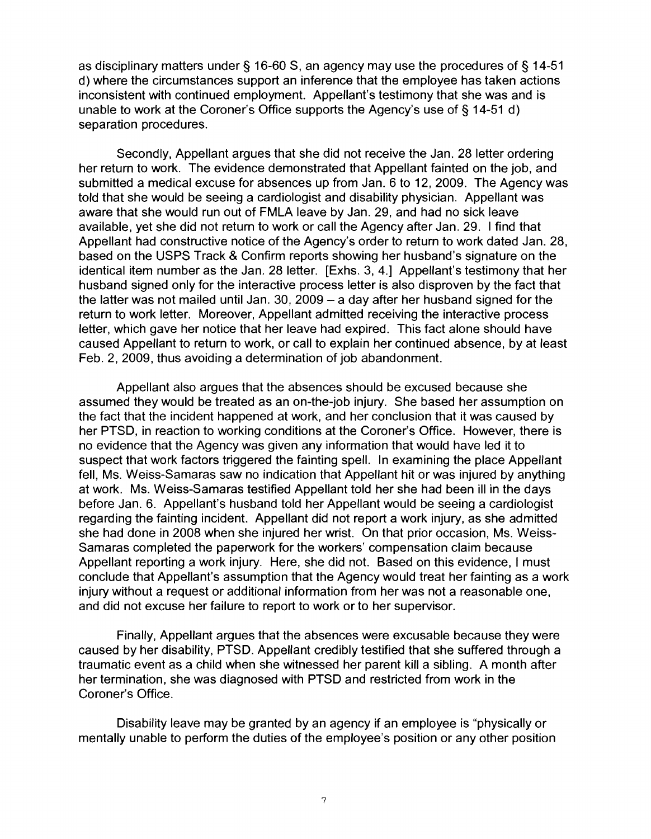as disciplinary matters under § 16-60 S, an agency may use the procedures of § 14-51 d) where the circumstances support an inference that the employee has taken actions inconsistent with continued employment. Appellant's testimony that she was and is unable to work at the Coroner's Office supports the Agency's use of§ 14-51 d) separation procedures.

Secondly, Appellant argues that she did not receive the Jan. 28 letter ordering her return to work. The evidence demonstrated that Appellant fainted on the job, and submitted a medical excuse for absences up from Jan. 6 to 12, 2009. The Agency was told that she would be seeing a cardiologist and disability physician. Appellant was aware that she would run out of FMLA leave by Jan. 29, and had no sick leave available, yet she did not return to work or call the Agency after Jan. 29. I find that Appellant had constructive notice of the Agency's order to return to work dated Jan. 28, based on the USPS Track & Confirm reports showing her husband's signature on the identical item number as the Jan. 28 letter. [Exhs. 3, 4.] Appellant's testimony that her husband signed only for the interactive process letter is also disproven by the fact that the latter was not mailed until Jan. 30, 2009 - a day after her husband signed for the return to work letter. Moreover, Appellant admitted receiving the interactive process letter, which gave her notice that her leave had expired. This fact alone should have caused Appellant to return to work, or call to explain her continued absence, by at least Feb. 2, 2009, thus avoiding a determination of job abandonment.

Appellant also argues that the absences should be excused because she assumed they would be treated as an on-the-job injury. She based her assumption on the fact that the incident happened at work, and her conclusion that it was caused by her PTSD, in reaction to working conditions at the Coroner's Office. However, there is no evidence that the Agency was given any information that would have led it to suspect that work factors triggered the fainting spell. In examining the place Appellant fell, Ms. Weiss-Samaras saw no indication that Appellant hit or was injured by anything at work. Ms. Weiss-Samaras testified Appellant told her she had been ill in the days before Jan. 6. Appellant's husband told her Appellant would be seeing a cardiologist regarding the fainting incident. Appellant did not report a work injury, as she admitted she had done in 2008 when she injured her wrist. On that prior occasion, Ms. Weiss-Samaras completed the paperwork for the workers' compensation claim because Appellant reporting a work injury. Here, she did not. Based on this evidence, I must conclude that Appellant's assumption that the Agency would treat her fainting as a work injury without a request or additional information from her was not a reasonable one, and did not excuse her failure to report to work or to her supervisor.

Finally, Appellant argues that the absences were excusable because they were caused by her disability, PTSD. Appellant credibly testified that she suffered through a traumatic event as a child when she witnessed her parent kill a sibling. A month after her termination, she was diagnosed with PTSD and restricted from work in the Coroner's Office.

Disability leave may be granted by an agency if an employee is "physically or mentally unable to perform the duties of the employee's position or any other position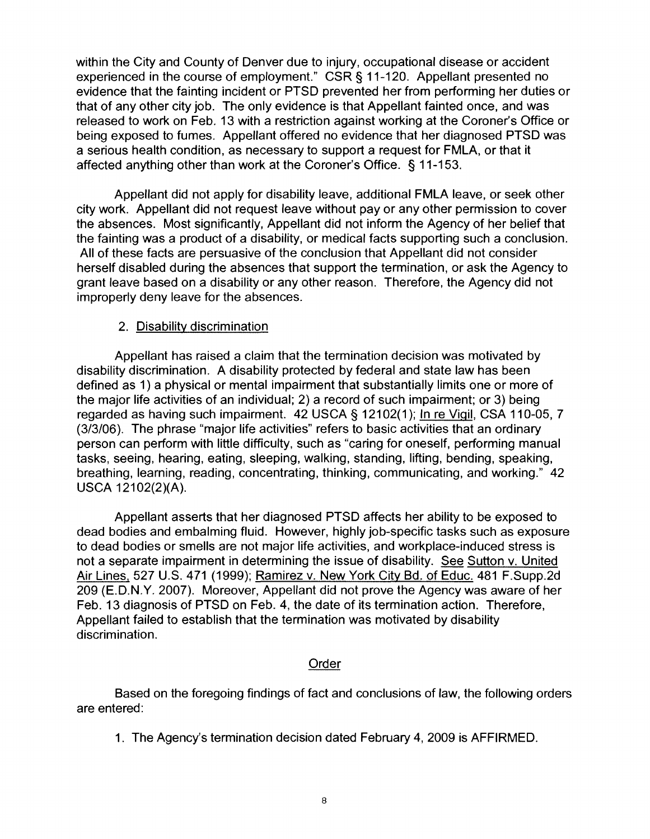within the City and County of Denver due to injury, occupational disease or accident experienced in the course of employment." CSR§ 11-120. Appellant presented no evidence that the fainting incident or PTSD prevented her from performing her duties or that of any other city job. The only evidence is that Appellant fainted once, and was released to work on Feb. 13 with a restriction against working at the Coroner's Office or being exposed to fumes. Appellant offered no evidence that her diagnosed PTSD was a serious health condition, as necessary to support a request for FMLA, or that it affected anything other than work at the Coroner's Office. § 11-153.

Appellant did not apply for disability leave, additional FMLA leave, or seek other city work. Appellant did not request leave without pay or any other permission to cover the absences. Most significantly, Appellant did not inform the Agency of her belief that the fainting was a product of a disability, or medical facts supporting such a conclusion. All of these facts are persuasive of the conclusion that Appellant did not consider herself disabled during the absences that support the termination, or ask the Agency to grant leave based on a disability or any other reason. Therefore, the Agency did not improperly deny leave for the absences.

## 2. Disability discrimination

Appellant has raised a claim that the termination decision was motivated by disability discrimination. A disability protected by federal and state law has been defined as 1) a physical or mental impairment that substantially limits one or more of the major life activities of an individual; 2) a record of such impairment; or 3) being regarded as having such impairment. 42 USCA § 12102(1 ); In re Vigil, CSA 110-05, 7 (3/3/06). The phrase "major life activities" refers to basic activities that an ordinary person can perform with little difficulty, such as "caring for oneself, performing manual tasks, seeing, hearing, eating, sleeping, walking, standing, lifting, bending, speaking, breathing, learning, reading, concentrating, thinking, communicating, and working." 42 USCA 12102(2)(A).

Appellant asserts that her diagnosed PTSD affects her ability to be exposed to dead bodies and embalming fluid. However, highly job-specific tasks such as exposure to dead bodies or smells are not major life activities, and workplace-induced stress is not a separate impairment in determining the issue of disability. See Sutton v. United Air Lines, 527 U.S. 471 (1999); Ramirez v. New York City Bd. of Educ. 481 F.Supp.2d 209 (E.D.N.Y. 2007). Moreover, Appellant did not prove the Agency was aware of her Feb. 13 diagnosis of PTSD on Feb. 4, the date of its termination action. Therefore, Appellant failed to establish that the termination was motivated by disability discrimination.

## Order

Based on the foregoing findings of fact and conclusions of law, the following orders are entered:

1. The Agency's termination decision dated February 4, 2009 is AFFIRMED.